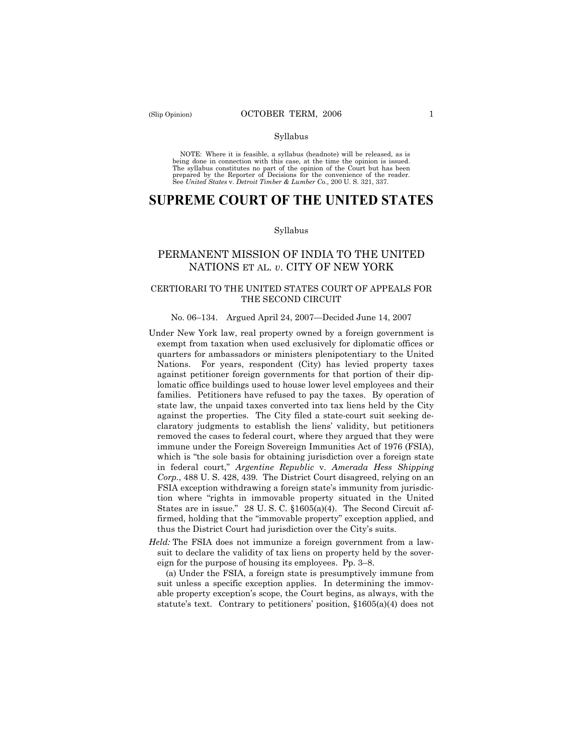#### Syllabus

NOTE: Where it is feasible, a syllabus (headnote) will be released, as is being done in connection with this case, at the time the opinion is issued. The syllabus constitutes no part of the opinion of the Court but has been<br>prepared by the Reporter of Decisions for the convenience of the reader.<br>See United States v. Detroit Timber & Lumber Co., 200 U. S. 321, 337.

# **SUPREME COURT OF THE UNITED STATES**

#### Syllabus

## PERMANENT MISSION OF INDIA TO THE UNITED NATIONS ET AL. *v*. CITY OF NEW YORK

## CERTIORARI TO THE UNITED STATES COURT OF APPEALS FOR THE SECOND CIRCUIT

#### No. 06–134. Argued April 24, 2007—Decided June 14, 2007

- Under New York law, real property owned by a foreign government is exempt from taxation when used exclusively for diplomatic offices or quarters for ambassadors or ministers plenipotentiary to the United Nations. For years, respondent (City) has levied property taxes against petitioner foreign governments for that portion of their diplomatic office buildings used to house lower level employees and their families. Petitioners have refused to pay the taxes. By operation of state law, the unpaid taxes converted into tax liens held by the City against the properties. The City filed a state-court suit seeking declaratory judgments to establish the liens' validity, but petitioners removed the cases to federal court, where they argued that they were immune under the Foreign Sovereign Immunities Act of 1976 (FSIA), which is "the sole basis for obtaining jurisdiction over a foreign state in federal court," *Argentine Republic* v. *Amerada Hess Shipping Corp.*, 488 U. S. 428, 439. The District Court disagreed, relying on an FSIA exception withdrawing a foreign state's immunity from jurisdiction where "rights in immovable property situated in the United States are in issue." 28 U. S. C. §1605(a)(4). The Second Circuit affirmed, holding that the "immovable property" exception applied, and thus the District Court had jurisdiction over the City's suits.
- *Held:* The FSIA does not immunize a foreign government from a lawsuit to declare the validity of tax liens on property held by the sovereign for the purpose of housing its employees. Pp. 3–8.

(a) Under the FSIA, a foreign state is presumptively immune from suit unless a specific exception applies. In determining the immovable property exception's scope, the Court begins, as always, with the statute's text. Contrary to petitioners' position, §1605(a)(4) does not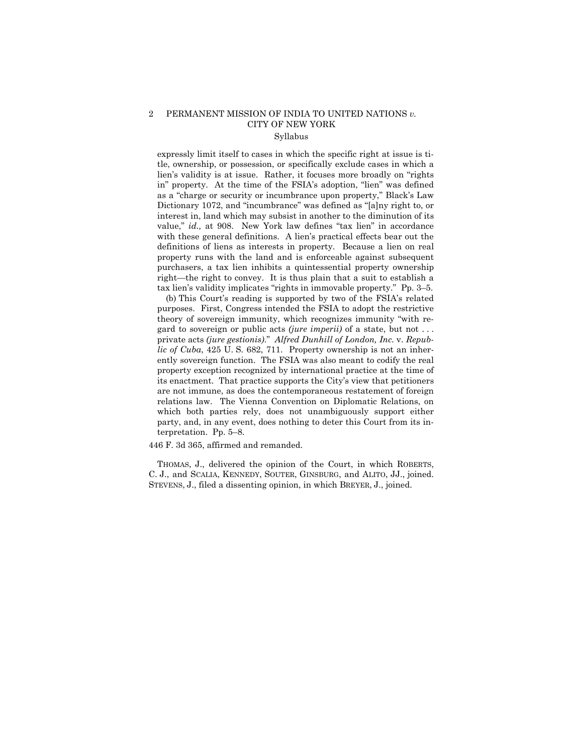# 2 PERMANENT MISSION OF INDIA TO UNITED NATIONS *v.* CITY OF NEW YORK

# Syllabus

expressly limit itself to cases in which the specific right at issue is title, ownership, or possession, or specifically exclude cases in which a lien's validity is at issue. Rather, it focuses more broadly on "rights in" property. At the time of the FSIA's adoption, "lien" was defined as a "charge or security or incumbrance upon property," Black's Law Dictionary 1072, and "incumbrance" was defined as "[a]ny right to, or interest in, land which may subsist in another to the diminution of its value," *id.,* at 908. New York law defines "tax lien" in accordance with these general definitions. A lien's practical effects bear out the definitions of liens as interests in property. Because a lien on real property runs with the land and is enforceable against subsequent purchasers, a tax lien inhibits a quintessential property ownership right—the right to convey. It is thus plain that a suit to establish a tax lien's validity implicates "rights in immovable property." Pp. 3–5.

(b) This Court's reading is supported by two of the FSIA's related purposes. First, Congress intended the FSIA to adopt the restrictive theory of sovereign immunity, which recognizes immunity "with regard to sovereign or public acts *(jure imperii)* of a state, but not . . . private acts *(jure gestionis)*." *Alfred Dunhill of London, Inc.* v. *Republic of Cuba*, 425 U. S. 682, 711. Property ownership is not an inherently sovereign function. The FSIA was also meant to codify the real property exception recognized by international practice at the time of its enactment. That practice supports the City's view that petitioners are not immune, as does the contemporaneous restatement of foreign relations law. The Vienna Convention on Diplomatic Relations, on which both parties rely, does not unambiguously support either party, and, in any event, does nothing to deter this Court from its interpretation. Pp. 5–8.

446 F. 3d 365, affirmed and remanded.

THOMAS, J., delivered the opinion of the Court, in which ROBERTS, C. J., and SCALIA, KENNEDY, SOUTER, GINSBURG, and ALITO, JJ., joined. STEVENS, J., filed a dissenting opinion, in which BREYER, J., joined.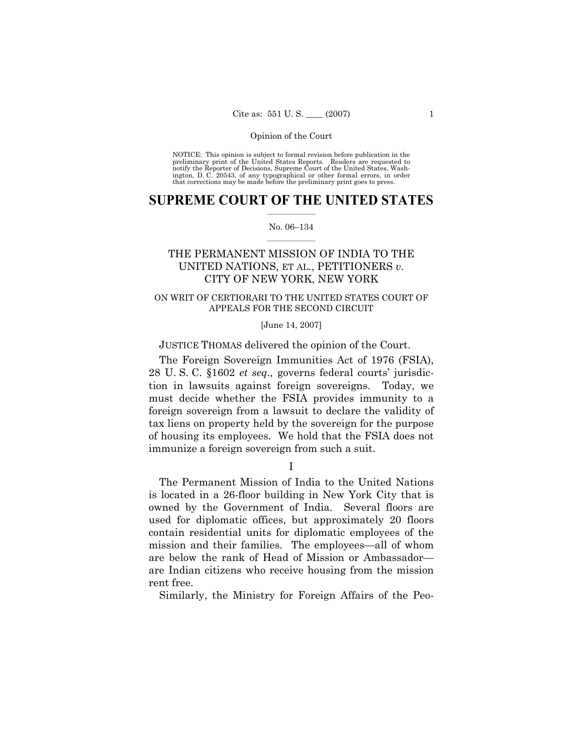NOTICE: This opinion is subject to formal revision before publication in the preliminary print of the United States Reports. Readers are requested to notify the Reporter of Decisions, Supreme Court of the United States, Washington, D. C. 20543, of any typographical or other formal errors, in order that corrections may be made before the preliminary print goes to press.

## $\frac{1}{2}$  ,  $\frac{1}{2}$  ,  $\frac{1}{2}$  ,  $\frac{1}{2}$  ,  $\frac{1}{2}$  ,  $\frac{1}{2}$  ,  $\frac{1}{2}$ **SUPREME COURT OF THE UNITED STATES**

#### $\mathcal{L}=\mathcal{L}$ No. 06–134

# THE PERMANENT MISSION OF INDIA TO THE UNITED NATIONS, ET AL., PETITIONERS *v.* CITY OF NEW YORK, NEW YORK

## ON WRIT OF CERTIORARI TO THE UNITED STATES COURT OF APPEALS FOR THE SECOND CIRCUIT

## [June 14, 2007]

## JUSTICE THOMAS delivered the opinion of the Court.

The Foreign Sovereign Immunities Act of 1976 (FSIA), 28 U. S. C. §1602 *et seq.,* governs federal courts' jurisdiction in lawsuits against foreign sovereigns. Today, we must decide whether the FSIA provides immunity to a foreign sovereign from a lawsuit to declare the validity of tax liens on property held by the sovereign for the purpose of housing its employees. We hold that the FSIA does not immunize a foreign sovereign from such a suit.

I

The Permanent Mission of India to the United Nations is located in a 26-floor building in New York City that is owned by the Government of India. Several floors are used for diplomatic offices, but approximately 20 floors contain residential units for diplomatic employees of the mission and their families. The employees—all of whom are below the rank of Head of Mission or Ambassador are Indian citizens who receive housing from the mission rent free.

Similarly, the Ministry for Foreign Affairs of the Peo-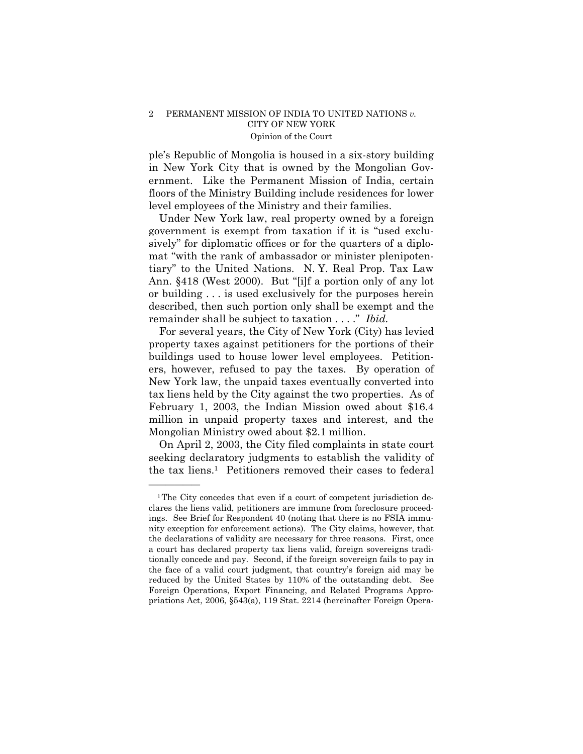ple's Republic of Mongolia is housed in a six-story building in New York City that is owned by the Mongolian Government. Like the Permanent Mission of India, certain floors of the Ministry Building include residences for lower level employees of the Ministry and their families.

Under New York law, real property owned by a foreign government is exempt from taxation if it is "used exclusively" for diplomatic offices or for the quarters of a diplomat "with the rank of ambassador or minister plenipotentiary" to the United Nations. N. Y. Real Prop. Tax Law Ann. §418 (West 2000). But "[i]f a portion only of any lot or building . . . is used exclusively for the purposes herein described, then such portion only shall be exempt and the remainder shall be subject to taxation . . . ." *Ibid.* 

For several years, the City of New York (City) has levied property taxes against petitioners for the portions of their buildings used to house lower level employees. Petitioners, however, refused to pay the taxes. By operation of New York law, the unpaid taxes eventually converted into tax liens held by the City against the two properties. As of February 1, 2003, the Indian Mission owed about \$16.4 million in unpaid property taxes and interest, and the Mongolian Ministry owed about \$2.1 million.

On April 2, 2003, the City filed complaints in state court seeking declaratory judgments to establish the validity of the tax liens.1 Petitioners removed their cases to federal

——————

<sup>&</sup>lt;sup>1</sup>The City concedes that even if a court of competent jurisdiction declares the liens valid, petitioners are immune from foreclosure proceedings. See Brief for Respondent 40 (noting that there is no FSIA immunity exception for enforcement actions). The City claims, however, that the declarations of validity are necessary for three reasons. First, once a court has declared property tax liens valid, foreign sovereigns traditionally concede and pay. Second, if the foreign sovereign fails to pay in the face of a valid court judgment, that country's foreign aid may be reduced by the United States by 110% of the outstanding debt. See Foreign Operations, Export Financing, and Related Programs Appropriations Act, 2006, §543(a), 119 Stat. 2214 (hereinafter Foreign Opera-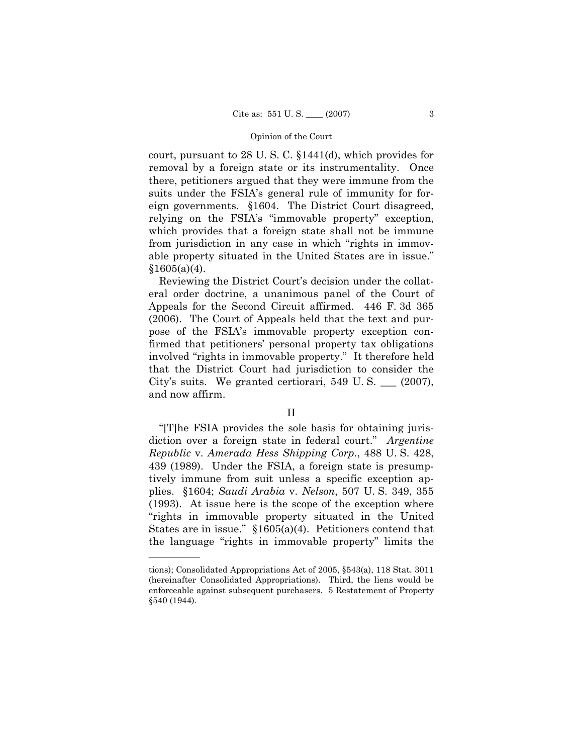court, pursuant to 28 U. S. C. §1441(d), which provides for removal by a foreign state or its instrumentality. Once there, petitioners argued that they were immune from the suits under the FSIA's general rule of immunity for foreign governments. §1604. The District Court disagreed, relying on the FSIA's "immovable property" exception, which provides that a foreign state shall not be immune from jurisdiction in any case in which "rights in immovable property situated in the United States are in issue."  $$1605(a)(4)$ .

Reviewing the District Court's decision under the collateral order doctrine, a unanimous panel of the Court of Appeals for the Second Circuit affirmed. 446 F. 3d 365 (2006). The Court of Appeals held that the text and purpose of the FSIA's immovable property exception confirmed that petitioners' personal property tax obligations involved "rights in immovable property." It therefore held that the District Court had jurisdiction to consider the City's suits. We granted certiorari, 549 U. S. \_\_\_ (2007), and now affirm.

## II

"[T]he FSIA provides the sole basis for obtaining jurisdiction over a foreign state in federal court." *Argentine Republic* v. *Amerada Hess Shipping Corp.*, 488 U. S. 428, 439 (1989). Under the FSIA, a foreign state is presumptively immune from suit unless a specific exception applies. §1604; *Saudi Arabia* v. *Nelson*, 507 U. S. 349, 355 (1993). At issue here is the scope of the exception where "rights in immovable property situated in the United States are in issue." §1605(a)(4). Petitioners contend that the language "rights in immovable property" limits the

——————

tions); Consolidated Appropriations Act of 2005, §543(a), 118 Stat. 3011 (hereinafter Consolidated Appropriations). Third, the liens would be enforceable against subsequent purchasers. 5 Restatement of Property §540 (1944).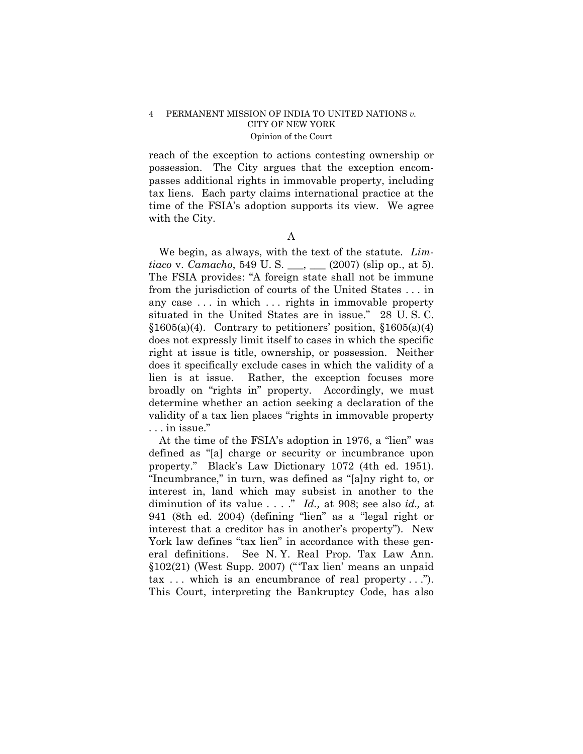reach of the exception to actions contesting ownership or possession. The City argues that the exception encompasses additional rights in immovable property, including tax liens. Each party claims international practice at the time of the FSIA's adoption supports its view. We agree with the City.

A

We begin, as always, with the text of the statute. *Limtiaco* v. *Camacho*, 549 U. S. \_\_\_, \_\_\_ (2007) (slip op., at 5). The FSIA provides: "A foreign state shall not be immune from the jurisdiction of courts of the United States . . . in any case . . . in which . . . rights in immovable property situated in the United States are in issue." 28 U. S. C.  $§1605(a)(4)$ . Contrary to petitioners' position,  $§1605(a)(4)$ does not expressly limit itself to cases in which the specific right at issue is title, ownership, or possession. Neither does it specifically exclude cases in which the validity of a lien is at issue. Rather, the exception focuses more broadly on "rights in" property. Accordingly, we must determine whether an action seeking a declaration of the validity of a tax lien places "rights in immovable property . . . in issue."

At the time of the FSIA's adoption in 1976, a "lien" was defined as "[a] charge or security or incumbrance upon property." Black's Law Dictionary 1072 (4th ed. 1951). "Incumbrance," in turn, was defined as "[a]ny right to, or interest in, land which may subsist in another to the diminution of its value . . . ." *Id.,* at 908; see also *id.,* at 941 (8th ed. 2004) (defining "lien" as a "legal right or interest that a creditor has in another's property"). New York law defines "tax lien" in accordance with these general definitions. See N. Y. Real Prop. Tax Law Ann. §102(21) (West Supp. 2007) ("'Tax lien' means an unpaid  $\text{tax} \dots$  which is an encumbrance of real property..."). This Court, interpreting the Bankruptcy Code, has also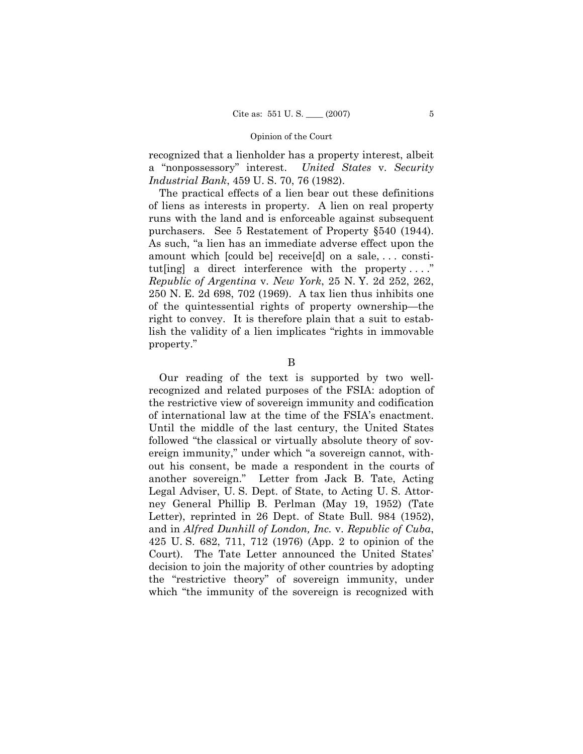recognized that a lienholder has a property interest, albeit a "nonpossessory" interest. *United States* v. *Security Industrial Bank*, 459 U. S. 70, 76 (1982).

The practical effects of a lien bear out these definitions of liens as interests in property. A lien on real property runs with the land and is enforceable against subsequent purchasers. See 5 Restatement of Property §540 (1944). As such, "a lien has an immediate adverse effect upon the amount which [could be] receive[d] on a sale, . . . constitut [ing] a direct interference with the property...." *Republic of Argentina* v. *New York*, 25 N. Y. 2d 252, 262, 250 N. E. 2d 698, 702 (1969). A tax lien thus inhibits one of the quintessential rights of property ownership—the right to convey. It is therefore plain that a suit to establish the validity of a lien implicates "rights in immovable property."

## B

Our reading of the text is supported by two wellrecognized and related purposes of the FSIA: adoption of the restrictive view of sovereign immunity and codification of international law at the time of the FSIA's enactment. Until the middle of the last century, the United States followed "the classical or virtually absolute theory of sovereign immunity," under which "a sovereign cannot, without his consent, be made a respondent in the courts of another sovereign." Letter from Jack B. Tate, Acting Legal Adviser, U. S. Dept. of State, to Acting U. S. Attorney General Phillip B. Perlman (May 19, 1952) (Tate Letter), reprinted in 26 Dept. of State Bull. 984 (1952), and in *Alfred Dunhill of London, Inc.* v. *Republic of Cuba*, 425 U. S. 682, 711, 712 (1976) (App. 2 to opinion of the Court). The Tate Letter announced the United States' decision to join the majority of other countries by adopting the "restrictive theory" of sovereign immunity, under which "the immunity of the sovereign is recognized with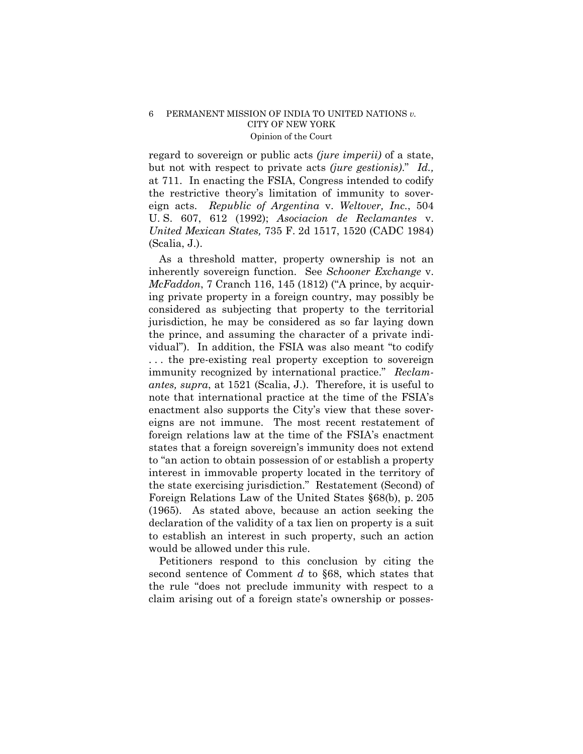regard to sovereign or public acts *(jure imperii)* of a state, but not with respect to private acts *(jure gestionis)*." *Id.,*  at 711. In enacting the FSIA, Congress intended to codify the restrictive theory's limitation of immunity to sovereign acts. *Republic of Argentina* v. *Weltover, Inc.*, 504 U. S. 607, 612 (1992); *Asociacion de Reclamantes* v. *United Mexican States,* 735 F. 2d 1517, 1520 (CADC 1984) (Scalia, J.).

As a threshold matter, property ownership is not an inherently sovereign function. See *Schooner Exchange* v. *McFaddon*, 7 Cranch 116, 145 (1812) ("A prince, by acquiring private property in a foreign country, may possibly be considered as subjecting that property to the territorial jurisdiction, he may be considered as so far laying down the prince, and assuming the character of a private individual"). In addition, the FSIA was also meant "to codify . . . the pre-existing real property exception to sovereign immunity recognized by international practice." *Reclamantes, supra*, at 1521 (Scalia, J.). Therefore, it is useful to note that international practice at the time of the FSIA's enactment also supports the City's view that these sovereigns are not immune. The most recent restatement of foreign relations law at the time of the FSIA's enactment states that a foreign sovereign's immunity does not extend to "an action to obtain possession of or establish a property interest in immovable property located in the territory of the state exercising jurisdiction." Restatement (Second) of Foreign Relations Law of the United States §68(b), p. 205 (1965). As stated above, because an action seeking the declaration of the validity of a tax lien on property is a suit to establish an interest in such property, such an action would be allowed under this rule.

Petitioners respond to this conclusion by citing the second sentence of Comment *d* to §68, which states that the rule "does not preclude immunity with respect to a claim arising out of a foreign state's ownership or posses-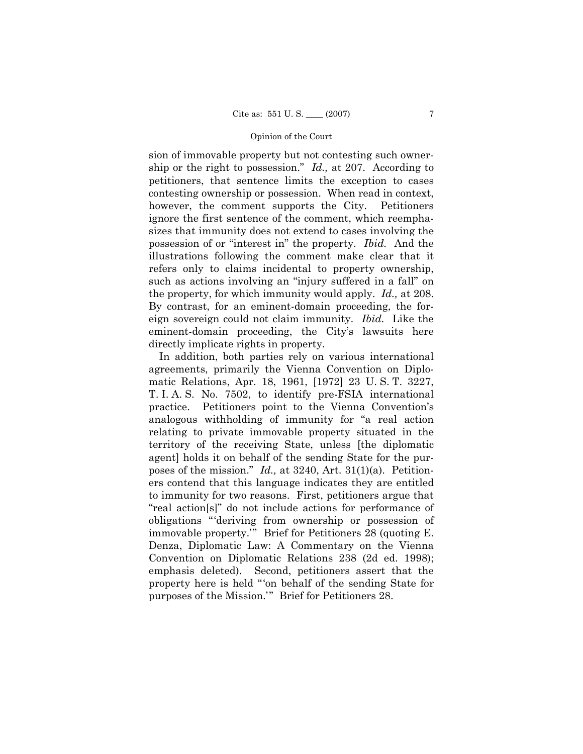sion of immovable property but not contesting such ownership or the right to possession." *Id.,* at 207. According to petitioners, that sentence limits the exception to cases contesting ownership or possession. When read in context, however, the comment supports the City. Petitioners ignore the first sentence of the comment, which reemphasizes that immunity does not extend to cases involving the possession of or "interest in" the property. *Ibid.* And the illustrations following the comment make clear that it refers only to claims incidental to property ownership, such as actions involving an "injury suffered in a fall" on the property, for which immunity would apply. *Id.,* at 208. By contrast, for an eminent-domain proceeding, the foreign sovereign could not claim immunity. *Ibid.* Like the eminent-domain proceeding, the City's lawsuits here directly implicate rights in property.

In addition, both parties rely on various international agreements, primarily the Vienna Convention on Diplomatic Relations, Apr. 18, 1961, [1972] 23 U. S. T. 3227, T. I. A. S. No. 7502, to identify pre-FSIA international practice. Petitioners point to the Vienna Convention's analogous withholding of immunity for "a real action relating to private immovable property situated in the territory of the receiving State, unless [the diplomatic agent] holds it on behalf of the sending State for the purposes of the mission." *Id.,* at 3240, Art. 31(1)(a). Petitioners contend that this language indicates they are entitled to immunity for two reasons. First, petitioners argue that "real action[s]" do not include actions for performance of obligations "'deriving from ownership or possession of immovable property.'" Brief for Petitioners 28 (quoting E. Denza, Diplomatic Law: A Commentary on the Vienna Convention on Diplomatic Relations 238 (2d ed. 1998); emphasis deleted). Second, petitioners assert that the property here is held "'on behalf of the sending State for purposes of the Mission.'" Brief for Petitioners 28.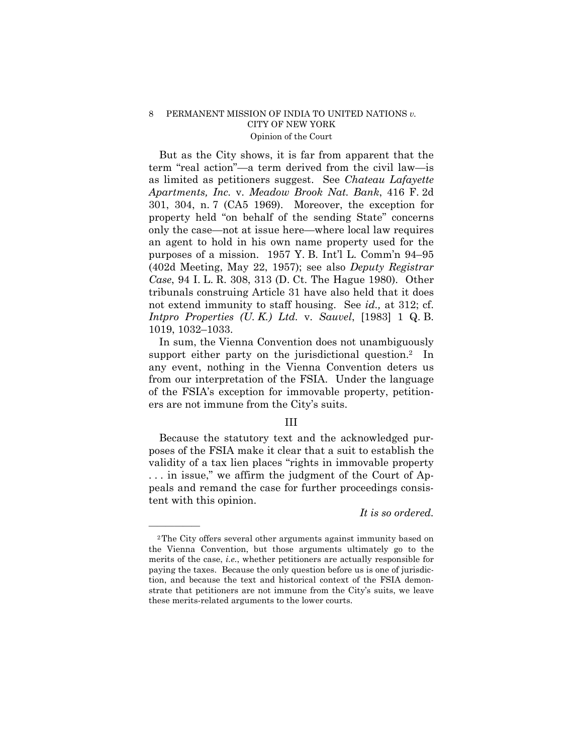But as the City shows, it is far from apparent that the term "real action"—a term derived from the civil law—is as limited as petitioners suggest. See *Chateau Lafayette Apartments, Inc.* v. *Meadow Brook Nat. Bank*, 416 F. 2d 301, 304, n. 7 (CA5 1969). Moreover, the exception for property held "on behalf of the sending State" concerns only the case—not at issue here—where local law requires an agent to hold in his own name property used for the purposes of a mission. 1957 Y. B. Int'l L. Comm'n 94–95 (402d Meeting, May 22, 1957); see also *Deputy Registrar Case*, 94 I. L. R. 308, 313 (D. Ct. The Hague 1980). Other tribunals construing Article 31 have also held that it does not extend immunity to staff housing. See *id.,* at 312; cf. *Intpro Properties (U. K.) Ltd.* v. *Sauvel*, [1983] 1 Q. B. 1019, 1032–1033.

In sum, the Vienna Convention does not unambiguously support either party on the jurisdictional question.<sup>2</sup> In any event, nothing in the Vienna Convention deters us from our interpretation of the FSIA. Under the language of the FSIA's exception for immovable property, petitioners are not immune from the City's suits.

## III

Because the statutory text and the acknowledged purposes of the FSIA make it clear that a suit to establish the validity of a tax lien places "rights in immovable property . . . in issue," we affirm the judgment of the Court of Appeals and remand the case for further proceedings consistent with this opinion.

*It is so ordered.* 

——————

<sup>2</sup>The City offers several other arguments against immunity based on the Vienna Convention, but those arguments ultimately go to the merits of the case, *i.e.*, whether petitioners are actually responsible for paying the taxes. Because the only question before us is one of jurisdiction, and because the text and historical context of the FSIA demonstrate that petitioners are not immune from the City's suits, we leave these merits-related arguments to the lower courts.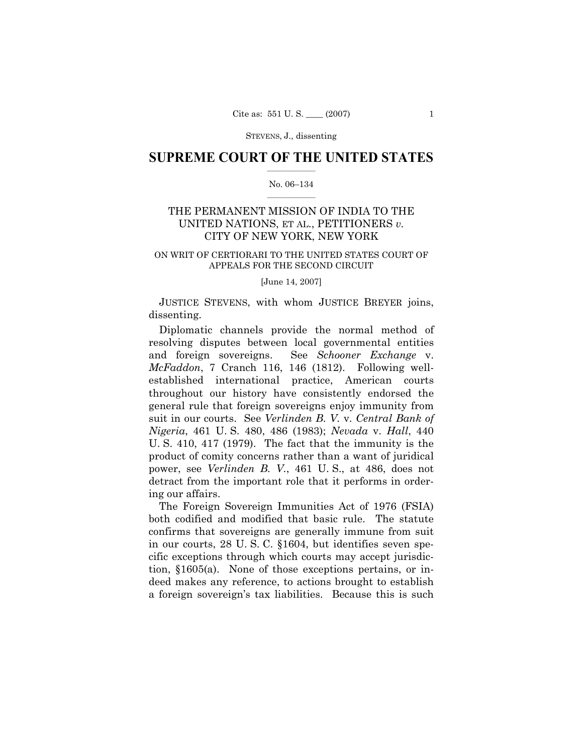STEVENS, J., dissenting

## $\frac{1}{2}$  ,  $\frac{1}{2}$  ,  $\frac{1}{2}$  ,  $\frac{1}{2}$  ,  $\frac{1}{2}$  ,  $\frac{1}{2}$  ,  $\frac{1}{2}$ **SUPREME COURT OF THE UNITED STATES**

#### $\mathcal{L}=\mathcal{L}$ No. 06–134

# THE PERMANENT MISSION OF INDIA TO THE UNITED NATIONS, ET AL., PETITIONERS *v.* CITY OF NEW YORK, NEW YORK

#### ON WRIT OF CERTIORARI TO THE UNITED STATES COURT OF APPEALS FOR THE SECOND CIRCUIT

[June 14, 2007]

JUSTICE STEVENS, with whom JUSTICE BREYER joins, dissenting.

Diplomatic channels provide the normal method of resolving disputes between local governmental entities and foreign sovereigns. See *Schooner Exchange* v. *McFaddon*, 7 Cranch 116, 146 (1812). Following wellestablished international practice, American courts throughout our history have consistently endorsed the general rule that foreign sovereigns enjoy immunity from suit in our courts. See *Verlinden B. V.* v. *Central Bank of Nigeria*, 461 U. S. 480, 486 (1983); *Nevada* v. *Hall*, 440 U. S. 410, 417 (1979). The fact that the immunity is the product of comity concerns rather than a want of juridical power, see *Verlinden B. V.*, 461 U. S., at 486, does not detract from the important role that it performs in ordering our affairs.

The Foreign Sovereign Immunities Act of 1976 (FSIA) both codified and modified that basic rule. The statute confirms that sovereigns are generally immune from suit in our courts, 28 U. S. C. §1604, but identifies seven specific exceptions through which courts may accept jurisdiction, §1605(a). None of those exceptions pertains, or indeed makes any reference, to actions brought to establish a foreign sovereign's tax liabilities. Because this is such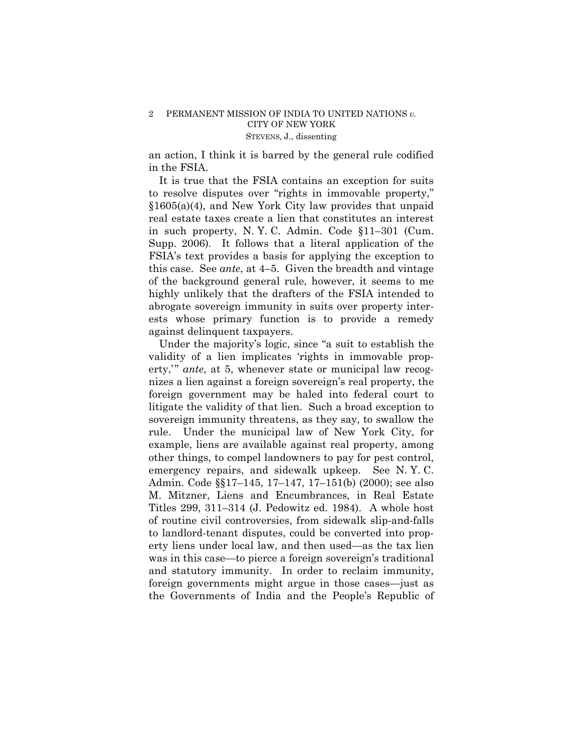## 2 PERMANENT MISSION OF INDIA TO UNITED NATIONS *v.*  CITY OF NEW YORK STEVENS, J., dissenting

an action, I think it is barred by the general rule codified in the FSIA.

It is true that the FSIA contains an exception for suits to resolve disputes over "rights in immovable property," §1605(a)(4), and New York City law provides that unpaid real estate taxes create a lien that constitutes an interest in such property, N. Y. C. Admin. Code §11–301 (Cum. Supp. 2006). It follows that a literal application of the FSIA's text provides a basis for applying the exception to this case. See *ante*, at 4–5. Given the breadth and vintage of the background general rule, however, it seems to me highly unlikely that the drafters of the FSIA intended to abrogate sovereign immunity in suits over property interests whose primary function is to provide a remedy against delinquent taxpayers.

Under the majority's logic, since "a suit to establish the validity of a lien implicates 'rights in immovable property,'" *ante*, at 5, whenever state or municipal law recognizes a lien against a foreign sovereign's real property, the foreign government may be haled into federal court to litigate the validity of that lien. Such a broad exception to sovereign immunity threatens, as they say, to swallow the rule. Under the municipal law of New York City, for example, liens are available against real property, among other things, to compel landowners to pay for pest control, emergency repairs, and sidewalk upkeep. See N. Y. C. Admin. Code §§17–145, 17–147, 17–151(b) (2000); see also M. Mitzner, Liens and Encumbrances*,* in Real Estate Titles 299, 311–314 (J. Pedowitz ed. 1984). A whole host of routine civil controversies, from sidewalk slip-and-falls to landlord-tenant disputes, could be converted into property liens under local law, and then used—as the tax lien was in this case—to pierce a foreign sovereign's traditional and statutory immunity. In order to reclaim immunity, foreign governments might argue in those cases—just as the Governments of India and the People's Republic of